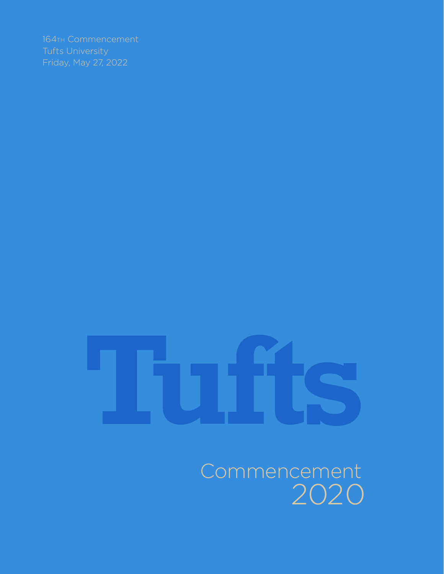Commencement 2020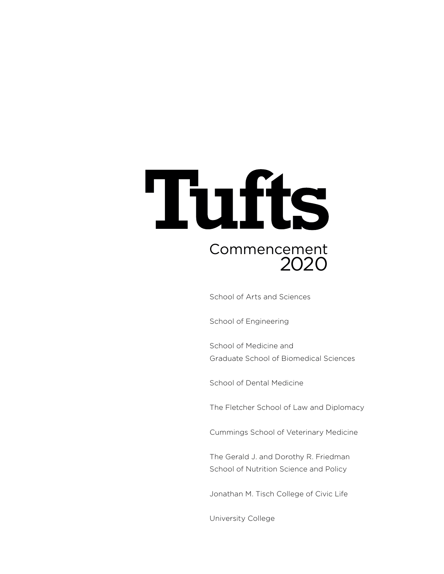# Tufts Commencement 2020

School of Arts and Sciences

School of Engineering

School of Medicine and Graduate School of Biomedical Sciences

School of Dental Medicine

The Fletcher School of Law and Diplomacy

Cummings School of Veterinary Medicine

The Gerald J. and Dorothy R. Friedman School of Nutrition Science and Policy

Jonathan M. Tisch College of Civic Life

University College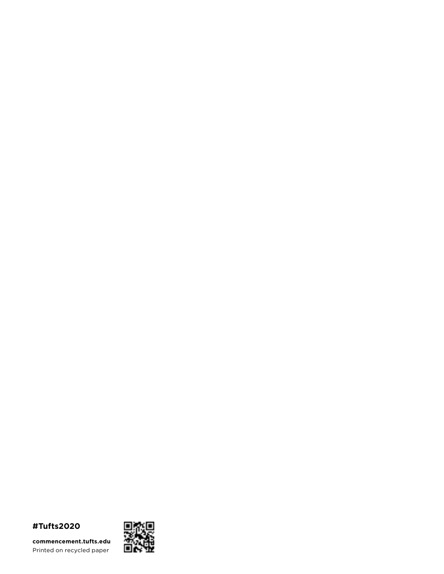# **#Tufts2020**

**commencement.tufts.edu** Printed on recycled paper

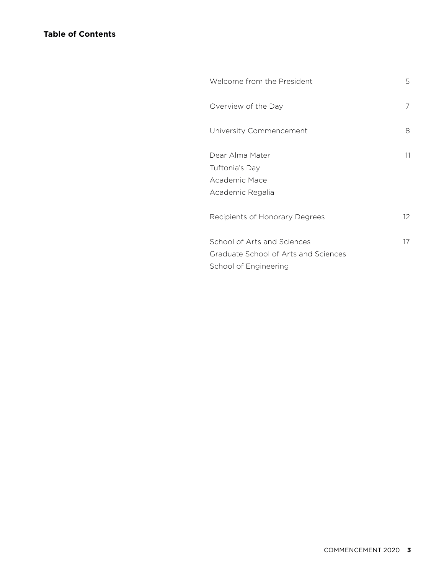| Welcome from the President                                                                   | 5  |
|----------------------------------------------------------------------------------------------|----|
| Overview of the Day                                                                          | 7  |
| University Commencement                                                                      | 8  |
| Dear Alma Mater<br>Tuftonia's Day<br>Academic Mace<br>Academic Regalia                       | 11 |
| Recipients of Honorary Degrees                                                               | 12 |
| School of Arts and Sciences<br>Graduate School of Arts and Sciences<br>School of Engineering | 17 |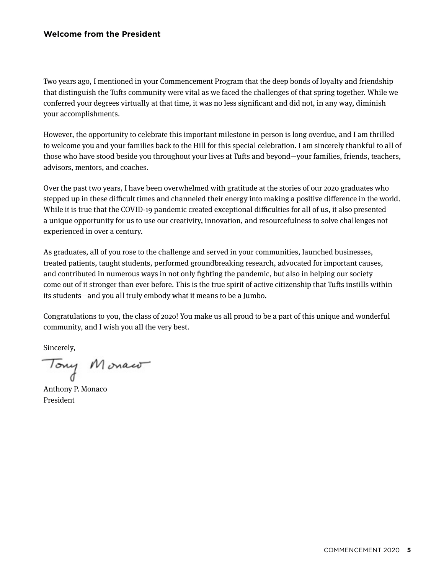## <span id="page-6-0"></span>**Welcome from the President**

Two years ago, I mentioned in your Commencement Program that the deep bonds of loyalty and friendship that distinguish the Tufts community were vital as we faced the challenges of that spring together. While we conferred your degrees virtually at that time, it was no less significant and did not, in any way, diminish your accomplishments.

However, the opportunity to celebrate this important milestone in person is long overdue, and I am thrilled to welcome you and your families back to the Hill for this special celebration. I am sincerely thankful to all of those who have stood beside you throughout your lives at Tufts and beyond—your families, friends, teachers, advisors, mentors, and coaches.

Over the past two years, I have been overwhelmed with gratitude at the stories of our 2020 graduates who stepped up in these difficult times and channeled their energy into making a positive difference in the world. While it is true that the COVID-19 pandemic created exceptional difficulties for all of us, it also presented a unique opportunity for us to use our creativity, innovation, and resourcefulness to solve challenges not experienced in over a century.

As graduates, all of you rose to the challenge and served in your communities, launched businesses, treated patients, taught students, performed groundbreaking research, advocated for important causes, and contributed in numerous ways in not only fighting the pandemic, but also in helping our society come out of it stronger than ever before. This is the true spirit of active citizenship that Tufts instills within its students—and you all truly embody what it means to be a Jumbo.

Congratulations to you, the class of 2020! You make us all proud to be a part of this unique and wonderful community, and I wish you all the very best.

Sincerely,

Tony Monaco

Anthony P. Monaco President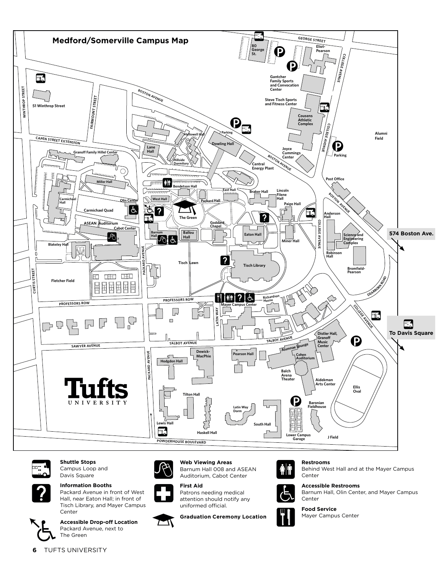



**Shuttle Stops** Campus Loop and Davis Square



**Information Booths** Packard Avenue in front of West Hall, near Eaton Hall; in front of Tisch Library, and Mayer Campus Center



**Accessible Drop-off Location** Packard Avenue, next to The Green



**Web Viewing Areas**

Barnum Hall 008 and ASEAN Auditorium, Cabot Center



ΔI

**First Aid**

Patrons needing medical attention should notify any uniformed official.

**Graduation Ceremony Location**



Behind West Hall and at the Mayer Campus Center **Accessible Restrooms**



**Food Service** Mayer Campus Center

**Restrooms**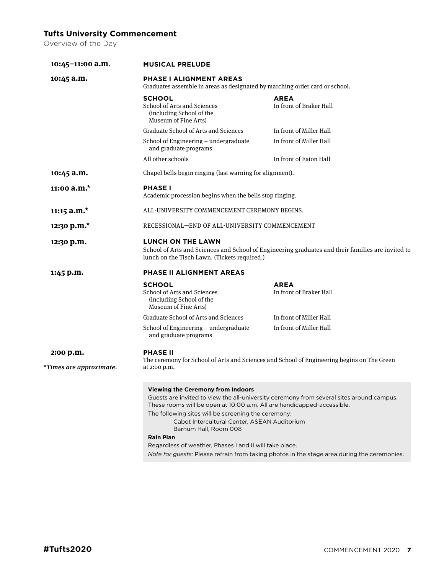# <span id="page-8-0"></span>**Tufts University Commencement**

Overview of the Day

| 10:45-11:00 a.m.        | <b>MUSICAL PRELUDE</b>                                                                                                                                                                                                                                                                                                            |                                                                                                                                                                                         |  |
|-------------------------|-----------------------------------------------------------------------------------------------------------------------------------------------------------------------------------------------------------------------------------------------------------------------------------------------------------------------------------|-----------------------------------------------------------------------------------------------------------------------------------------------------------------------------------------|--|
| 10:45 a.m.              | <b>PHASE I ALIGNMENT AREAS</b><br>Graduates assemble in areas as designated by marching order card or school.                                                                                                                                                                                                                     |                                                                                                                                                                                         |  |
|                         | <b>SCHOOL</b><br>School of Arts and Sciences<br>(including School of the<br>Museum of Fine Arts)                                                                                                                                                                                                                                  | <b>AREA</b><br>In front of Braker Hall                                                                                                                                                  |  |
|                         | <b>Graduate School of Arts and Sciences</b>                                                                                                                                                                                                                                                                                       | In front of Miller Hall                                                                                                                                                                 |  |
|                         | School of Engineering - undergraduate<br>and graduate programs                                                                                                                                                                                                                                                                    | In front of Miller Hall                                                                                                                                                                 |  |
|                         | All other schools                                                                                                                                                                                                                                                                                                                 | In front of Eaton Hall                                                                                                                                                                  |  |
| 10:45 a.m.              | Chapel bells begin ringing (last warning for alignment).                                                                                                                                                                                                                                                                          |                                                                                                                                                                                         |  |
| 11:00 $a.m.*$           | <b>PHASE I</b><br>Academic procession begins when the bells stop ringing.                                                                                                                                                                                                                                                         |                                                                                                                                                                                         |  |
| 11:15 $a.m.*$           | ALL-UNIVERSITY COMMENCEMENT CEREMONY BEGINS.                                                                                                                                                                                                                                                                                      |                                                                                                                                                                                         |  |
| 12:30 p.m.*             | RECESSIONAL-END OF ALL-UNIVERSITY COMMENCEMENT                                                                                                                                                                                                                                                                                    |                                                                                                                                                                                         |  |
| 12:30 p.m.              | <b>LUNCH ON THE LAWN</b><br>School of Arts and Sciences and School of Engineering graduates and their families are invited to<br>lunch on the Tisch Lawn. (Tickets required.)                                                                                                                                                     |                                                                                                                                                                                         |  |
| 1:45 p.m.               | PHASE II ALIGNMENT AREAS                                                                                                                                                                                                                                                                                                          |                                                                                                                                                                                         |  |
|                         | <b>SCHOOL</b><br>School of Arts and Sciences<br>(including School of the<br>Museum of Fine Arts)                                                                                                                                                                                                                                  | <b>AREA</b><br>In front of Braker Hall                                                                                                                                                  |  |
|                         | <b>Graduate School of Arts and Sciences</b>                                                                                                                                                                                                                                                                                       | In front of Miller Hall                                                                                                                                                                 |  |
|                         | School of Engineering - undergraduate<br>and graduate programs                                                                                                                                                                                                                                                                    | In front of Miller Hall                                                                                                                                                                 |  |
| 2:00 p.m.               | <b>PHASE II</b><br>The ceremony for School of Arts and Sciences and School of Engineering begins on The Green                                                                                                                                                                                                                     |                                                                                                                                                                                         |  |
| *Times are approximate. | at 2:00 p.m.                                                                                                                                                                                                                                                                                                                      |                                                                                                                                                                                         |  |
|                         | <b>Viewing the Ceremony from Indoors</b><br>These rooms will be open at 10:00 a.m. All are handicapped-accessible.<br>The following sites will be screening the ceremony:<br>Cabot Intercultural Center, ASEAN Auditorium<br>Barnum Hall, Room 008<br><b>Rain Plan</b><br>Regardless of weather, Phases I and II will take place. | Guests are invited to view the all-university ceremony from several sites around campus.<br>Note for guests: Please refrain from taking photos in the stage area during the ceremonies. |  |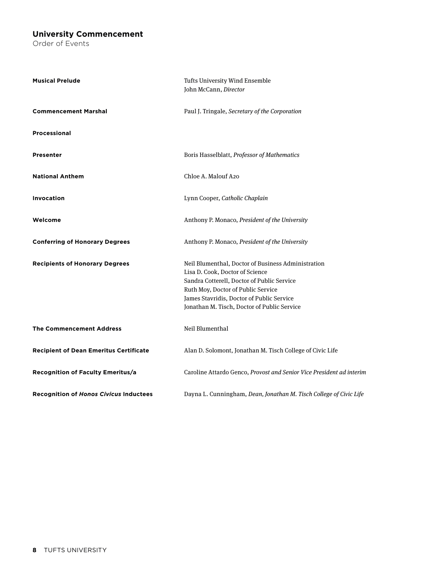## <span id="page-9-0"></span>**University Commencement**

Order of Events

| <b>Musical Prelude</b>                        | Tufts University Wind Ensemble<br>John McCann, Director                                                                                                                                                                                                               |
|-----------------------------------------------|-----------------------------------------------------------------------------------------------------------------------------------------------------------------------------------------------------------------------------------------------------------------------|
| <b>Commencement Marshal</b>                   | Paul J. Tringale, Secretary of the Corporation                                                                                                                                                                                                                        |
| <b>Processional</b>                           |                                                                                                                                                                                                                                                                       |
| <b>Presenter</b>                              | Boris Hasselblatt, Professor of Mathematics                                                                                                                                                                                                                           |
| <b>National Anthem</b>                        | Chloe A. Malouf A20                                                                                                                                                                                                                                                   |
| <b>Invocation</b>                             | Lynn Cooper, Catholic Chaplain                                                                                                                                                                                                                                        |
| Welcome                                       | Anthony P. Monaco, President of the University                                                                                                                                                                                                                        |
| <b>Conferring of Honorary Degrees</b>         | Anthony P. Monaco, President of the University                                                                                                                                                                                                                        |
| <b>Recipients of Honorary Degrees</b>         | Neil Blumenthal, Doctor of Business Administration<br>Lisa D. Cook, Doctor of Science<br>Sandra Cotterell, Doctor of Public Service<br>Ruth Moy, Doctor of Public Service<br>James Stavridis, Doctor of Public Service<br>Jonathan M. Tisch, Doctor of Public Service |
| <b>The Commencement Address</b>               | Neil Blumenthal                                                                                                                                                                                                                                                       |
| <b>Recipient of Dean Emeritus Certificate</b> | Alan D. Solomont, Jonathan M. Tisch College of Civic Life                                                                                                                                                                                                             |
| <b>Recognition of Faculty Emeritus/a</b>      | Caroline Attardo Genco, Provost and Senior Vice President ad interim                                                                                                                                                                                                  |
| <b>Recognition of Honos Civicus Inductees</b> | Dayna L. Cunningham, Dean, Jonathan M. Tisch College of Civic Life                                                                                                                                                                                                    |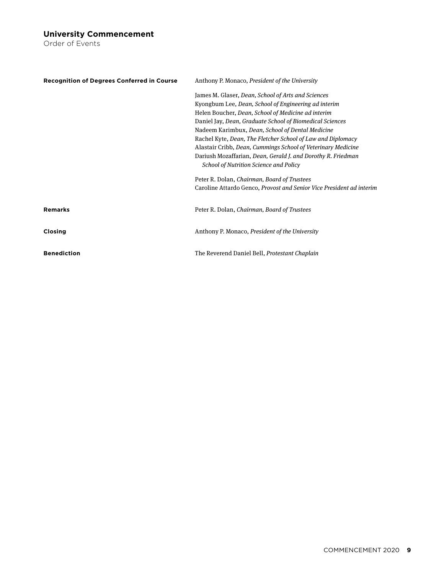### **University Commencement**

Order of Events

| <b>Recognition of Degrees Conferred in Course</b> | Anthony P. Monaco, <i>President of the University</i>                |
|---------------------------------------------------|----------------------------------------------------------------------|
|                                                   | James M. Glaser, Dean, School of Arts and Sciences                   |
|                                                   | Kyongbum Lee, Dean, School of Engineering ad interim                 |
|                                                   | Helen Boucher, Dean, School of Medicine ad interim                   |
|                                                   | Daniel Jay, Dean, Graduate School of Biomedical Sciences             |
|                                                   | Nadeem Karimbux, Dean, School of Dental Medicine                     |
|                                                   | Rachel Kyte, Dean, The Fletcher School of Law and Diplomacy          |
|                                                   | Alastair Cribb, Dean, Cummings School of Veterinary Medicine         |
|                                                   | Dariush Mozaffarian, Dean, Gerald J. and Dorothy R. Friedman         |
|                                                   | School of Nutrition Science and Policy                               |
|                                                   | Peter R. Dolan, Chairman, Board of Trustees                          |
|                                                   | Caroline Attardo Genco, Provost and Senior Vice President ad interim |
|                                                   |                                                                      |
| <b>Remarks</b>                                    | Peter R. Dolan, Chairman, Board of Trustees                          |
|                                                   |                                                                      |
| <b>Closing</b>                                    | Anthony P. Monaco, <i>President of the University</i>                |
| <b>Benediction</b>                                | The Reverend Daniel Bell, Protestant Chaplain                        |
|                                                   |                                                                      |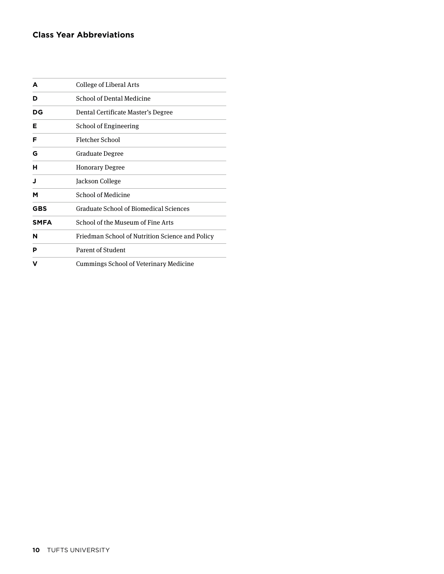# **Class Year Abbreviations**

| A           | College of Liberal Arts                         |  |
|-------------|-------------------------------------------------|--|
| D           | <b>School of Dental Medicine</b>                |  |
| DG          | Dental Certificate Master's Degree              |  |
| Е           | <b>School of Engineering</b>                    |  |
| F           | Fletcher School                                 |  |
| G           | Graduate Degree                                 |  |
| н           | <b>Honorary Degree</b>                          |  |
| J           | Jackson College                                 |  |
| м           | <b>School of Medicine</b>                       |  |
| GBS         | <b>Graduate School of Biomedical Sciences</b>   |  |
| <b>SMFA</b> | School of the Museum of Fine Arts               |  |
| N           | Friedman School of Nutrition Science and Policy |  |
| P           | Parent of Student                               |  |
| v           | Cummings School of Veterinary Medicine          |  |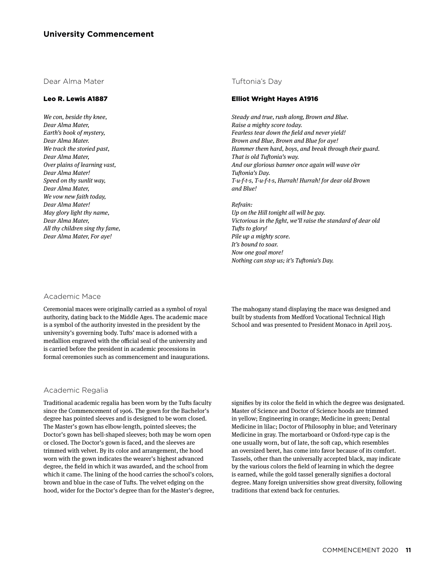<span id="page-12-0"></span>Dear Alma Mater

#### Leo R. Lewis A1887

*We con, beside thy knee, Dear Alma Mater, Earth's book of mystery, Dear Alma Mater. We track the storied past, Dear Alma Mater, Over plains of learning vast, Dear Alma Mater! Speed on thy sunlit way, Dear Alma Mater, We vow new faith today, Dear Alma Mater! May glory light thy name, Dear Alma Mater, All thy children sing thy fame, Dear Alma Mater, For aye!*

#### Tuftonia's Day

#### Elliot Wright Hayes A1916

*Steady and true, rush along, Brown and Blue. Raise a mighty score today. Fearless tear down the field and never yield! Brown and Blue, Brown and Blue for aye! Hammer them hard, boys, and break through their guard. That is old Tuftonia's way. And our glorious banner once again will wave o'er Tuftonia's Day. T-u-f-t-s, T-u-f-t-s, Hurrah! Hurrah! for dear old Brown and Blue!*

*Refrain: Up on the Hill tonight all will be gay. Victorious in the fight, we'll raise the standard of dear old Tufts to glory! Pile up a mighty score. It's bound to soar. Now one goal more! Nothing can stop us; it's Tuftonia's Day.*

#### Academic Mace

Ceremonial maces were originally carried as a symbol of royal authority, dating back to the Middle Ages. The academic mace is a symbol of the authority invested in the president by the university's governing body. Tufts' mace is adorned with a medallion engraved with the official seal of the university and is carried before the president in academic processions in formal ceremonies such as commencement and inaugurations.

#### Academic Regalia

Traditional academic regalia has been worn by the Tufts faculty since the Commencement of 1906. The gown for the Bachelor's degree has pointed sleeves and is designed to be worn closed. The Master's gown has elbow-length, pointed sleeves; the Doctor's gown has bell-shaped sleeves; both may be worn open or closed. The Doctor's gown is faced, and the sleeves are trimmed with velvet. By its color and arrangement, the hood worn with the gown indicates the wearer's highest advanced degree, the field in which it was awarded, and the school from which it came. The lining of the hood carries the school's colors, brown and blue in the case of Tufts. The velvet edging on the hood, wider for the Doctor's degree than for the Master's degree, The mahogany stand displaying the mace was designed and built by students from Medford Vocational Technical High School and was presented to President Monaco in April 2015.

signifies by its color the field in which the degree was designated. Master of Science and Doctor of Science hoods are trimmed in yellow; Engineering in orange; Medicine in green; Dental Medicine in lilac; Doctor of Philosophy in blue; and Veterinary Medicine in gray. The mortarboard or Oxford-type cap is the one usually worn, but of late, the soft cap, which resembles an oversized beret, has come into favor because of its comfort. Tassels, other than the universally accepted black, may indicate by the various colors the field of learning in which the degree is earned, while the gold tassel generally signifies a doctoral degree. Many foreign universities show great diversity, following traditions that extend back for centuries.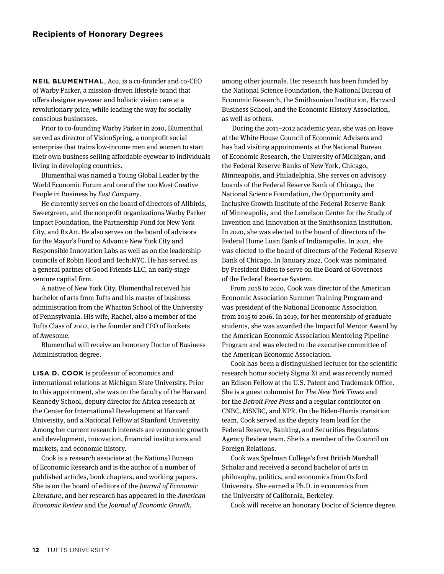<span id="page-13-0"></span>**NEIL BLUMENTHAL**, A02, is a co-founder and co-CEO of Warby Parker, a mission-driven lifestyle brand that offers designer eyewear and holistic vision care at a revolutionary price, while leading the way for socially conscious businesses.

Prior to co-founding Warby Parker in 2010, Blumenthal served as director of VisionSpring, a nonprofit social enterprise that trains low-income men and women to start their own business selling affordable eyewear to individuals living in developing countries.

Blumenthal was named a Young Global Leader by the World Economic Forum and one of the 100 Most Creative People in Business by *Fast Company*.

He currently serves on the board of directors of Allbirds, Sweetgreen, and the nonprofit organizations Warby Parker Impact Foundation, the Partnership Fund for New York City, and RxArt. He also serves on the board of advisors for the Mayor's Fund to Advance New York City and Responsible Innovation Labs as well as on the leadership councils of Robin Hood and Tech:NYC. He has served as a general partner of Good Friends LLC, an early-stage venture capital firm.

A native of New York City, Blumenthal received his bachelor of arts from Tufts and his master of business administration from the Wharton School of the University of Pennsylvania. His wife, Rachel, also a member of the Tufts Class of 2002, is the founder and CEO of Rockets of Awesome.

Blumenthal will receive an honorary Doctor of Business Administration degree.

**LISA D. COOK** is professor of economics and international relations at Michigan State University. Prior to this appointment, she was on the faculty of the Harvard Kennedy School, deputy director for Africa research at the Center for International Development at Harvard University, and a National Fellow at Stanford University. Among her current research interests are economic growth and development, innovation, financial institutions and markets, and economic history.

Cook is a research associate at the National Bureau of Economic Research and is the author of a number of published articles, book chapters, and working papers. She is on the board of editors of the *Journal of Economic Literature*, and her research has appeared in the *American Economic Review* and the *Journal of Economic Growth*,

among other journals. Her research has been funded by the National Science Foundation, the National Bureau of Economic Research, the Smithsonian Institution, Harvard Business School, and the Economic History Association, as well as others.

 During the 2011–2012 academic year, she was on leave at the White House Council of Economic Advisers and has had visiting appointments at the National Bureau of Economic Research, the University of Michigan, and the Federal Reserve Banks of New York, Chicago, Minneapolis, and Philadelphia. She serves on advisory boards of the Federal Reserve Bank of Chicago, the National Science Foundation, the Opportunity and Inclusive Growth Institute of the Federal Reserve Bank of Minneapolis, and the Lemelson Center for the Study of Invention and Innovation at the Smithsonian Institution. In 2020, she was elected to the board of directors of the Federal Home Loan Bank of Indianapolis. In 2021, she was elected to the board of directors of the Federal Reserve Bank of Chicago. In January 2022, Cook was nominated by President Biden to serve on the Board of Governors of the Federal Reserve System.

From 2018 to 2020, Cook was director of the American Economic Association Summer Training Program and was president of the National Economic Association from 2015 to 2016. In 2019, for her mentorship of graduate students, she was awarded the Impactful Mentor Award by the American Economic Association Mentoring Pipeline Program and was elected to the executive committee of the American Economic Association.

Cook has been a distinguished lecturer for the scientific research honor society Sigma Xi and was recently named an Edison Fellow at the U.S. Patent and Trademark Office. She is a guest columnist for *The New York Times* and for the *Detroit Free Press* and a regular contributor on CNBC, MSNBC, and NPR. On the Biden-Harris transition team, Cook served as the deputy team lead for the Federal Reserve, Banking, and Securities Regulators Agency Review team. She is a member of the Council on Foreign Relations.

Cook was Spelman College's first British Marshall Scholar and received a second bachelor of arts in philosophy, politics, and economics from Oxford University. She earned a Ph.D. in economics from the University of California, Berkeley.

Cook will receive an honorary Doctor of Science degree.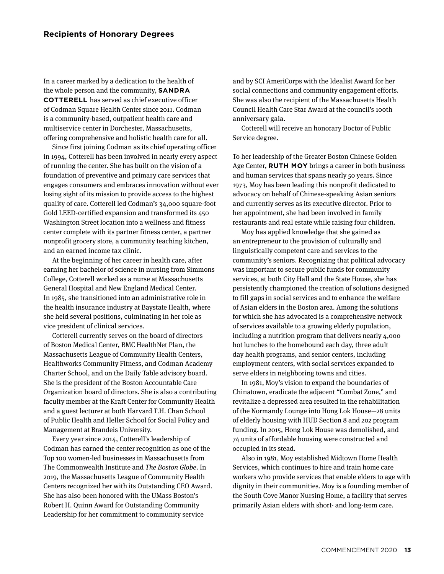In a career marked by a dedication to the health of the whole person and the community, **SANDRA COTTERELL** has served as chief executive officer of Codman Square Health Center since 2011. Codman is a community-based, outpatient health care and multiservice center in Dorchester, Massachusetts, offering comprehensive and holistic health care for all.

Since first joining Codman as its chief operating officer in 1994, Cotterell has been involved in nearly every aspect of running the center. She has built on the vision of a foundation of preventive and primary care services that engages consumers and embraces innovation without ever losing sight of its mission to provide access to the highest quality of care. Cotterell led Codman's 34,000 square-foot Gold LEED-certified expansion and transformed its 450 Washington Street location into a wellness and fitness center complete with its partner fitness center, a partner nonprofit grocery store, a community teaching kitchen, and an earned income tax clinic.

At the beginning of her career in health care, after earning her bachelor of science in nursing from Simmons College, Cotterell worked as a nurse at Massachusetts General Hospital and New England Medical Center. In 1985, she transitioned into an administrative role in the health insurance industry at Baystate Health, where she held several positions, culminating in her role as vice president of clinical services.

Cotterell currently serves on the board of directors of Boston Medical Center, BMC HealthNet Plan, the Massachusetts League of Community Health Centers, Healthworks Community Fitness, and Codman Academy Charter School, and on the Daily Table advisory board. She is the president of the Boston Accountable Care Organization board of directors. She is also a contributing faculty member at the Kraft Center for Community Health and a guest lecturer at both Harvard T.H. Chan School of Public Health and Heller School for Social Policy and Management at Brandeis University.

Every year since 2014, Cotterell's leadership of Codman has earned the center recognition as one of the Top 100 women-led businesses in Massachusetts from The Commonwealth Institute and *The Boston Globe*. In 2019, the Massachusetts League of Community Health Centers recognized her with its Outstanding CEO Award. She has also been honored with the UMass Boston's Robert H. Quinn Award for Outstanding Community Leadership for her commitment to community service

and by SCI AmeriCorps with the Idealist Award for her social connections and community engagement efforts. She was also the recipient of the Massachusetts Health Council Health Care Star Award at the council's 100th anniversary gala.

Cotterell will receive an honorary Doctor of Public Service degree.

To her leadership of the Greater Boston Chinese Golden Age Center, **RUTH MOY** brings a career in both business and human services that spans nearly 50 years. Since 1973, Moy has been leading this nonprofit dedicated to advocacy on behalf of Chinese-speaking Asian seniors and currently serves as its executive director. Prior to her appointment, she had been involved in family restaurants and real estate while raising four children.

Moy has applied knowledge that she gained as an entrepreneur to the provision of culturally and linguistically competent care and services to the community's seniors. Recognizing that political advocacy was important to secure public funds for community services, at both City Hall and the State House, she has persistently championed the creation of solutions designed to fill gaps in social services and to enhance the welfare of Asian elders in the Boston area. Among the solutions for which she has advocated is a comprehensive network of services available to a growing elderly population, including a nutrition program that delivers nearly 4,000 hot lunches to the homebound each day, three adult day health programs, and senior centers, including employment centers, with social services expanded to serve elders in neighboring towns and cities.

In 1981, Moy's vision to expand the boundaries of Chinatown, eradicate the adjacent "Combat Zone," and revitalize a depressed area resulted in the rehabilitation of the Normandy Lounge into Hong Lok House—28 units of elderly housing with HUD Section 8 and 202 program funding. In 2015, Hong Lok House was demolished, and 74 units of affordable housing were constructed and occupied in its stead.

Also in 1981, Moy established Midtown Home Health Services, which continues to hire and train home care workers who provide services that enable elders to age with dignity in their communities. Moy is a founding member of the South Cove Manor Nursing Home, a facility that serves primarily Asian elders with short- and long-term care.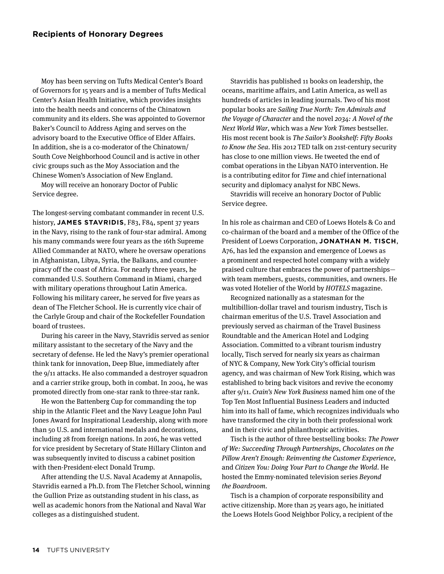Moy has been serving on Tufts Medical Center's Board of Governors for 15 years and is a member of Tufts Medical Center's Asian Health Initiative, which provides insights into the health needs and concerns of the Chinatown community and its elders. She was appointed to Governor Baker's Council to Address Aging and serves on the advisory board to the Executive Office of Elder Affairs. In addition, she is a co-moderator of the Chinatown/ South Cove Neighborhood Council and is active in other civic groups such as the Moy Association and the Chinese Women's Association of New England.

Moy will receive an honorary Doctor of Public Service degree.

The longest-serving combatant commander in recent U.S. history, **JAMES STAVRIDIS**, F83, F84, spent 37 years in the Navy, rising to the rank of four-star admiral. Among his many commands were four years as the 16th Supreme Allied Commander at NATO, where he oversaw operations in Afghanistan, Libya, Syria, the Balkans, and counterpiracy off the coast of Africa. For nearly three years, he commanded U.S. Southern Command in Miami, charged with military operations throughout Latin America. Following his military career, he served for five years as dean of The Fletcher School. He is currently vice chair of the Carlyle Group and chair of the Rockefeller Foundation board of trustees.

During his career in the Navy, Stavridis served as senior military assistant to the secretary of the Navy and the secretary of defense. He led the Navy's premier operational think tank for innovation, Deep Blue, immediately after the 9/11 attacks. He also commanded a destroyer squadron and a carrier strike group, both in combat. In 2004, he was promoted directly from one-star rank to three-star rank.

He won the Battenberg Cup for commanding the top ship in the Atlantic Fleet and the Navy League John Paul Jones Award for Inspirational Leadership, along with more than 50 U.S. and international medals and decorations, including 28 from foreign nations. In 2016, he was vetted for vice president by Secretary of State Hillary Clinton and was subsequently invited to discuss a cabinet position with then-President-elect Donald Trump.

After attending the U.S. Naval Academy at Annapolis, Stavridis earned a Ph.D. from The Fletcher School, winning the Gullion Prize as outstanding student in his class, as well as academic honors from the National and Naval War colleges as a distinguished student.

Stavridis has published 11 books on leadership, the oceans, maritime affairs, and Latin America, as well as hundreds of articles in leading journals. Two of his most popular books are *Sailing True North: Ten Admirals and the Voyage of Character* and the novel *2034: A Novel of the Next World War*, which was a *New York Times* bestseller. His most recent book is *The Sailor's Bookshelf: Fifty Books to Know the Sea*. His 2012 TED talk on 21st-century security has close to one million views. He tweeted the end of combat operations in the Libyan NATO intervention. He is a contributing editor for *Time* and chief international security and diplomacy analyst for NBC News.

Stavridis will receive an honorary Doctor of Public Service degree.

In his role as chairman and CEO of Loews Hotels & Co and co-chairman of the board and a member of the Office of the President of Loews Corporation, **JONATHAN M. TISCH**, A76, has led the expansion and emergence of Loews as a prominent and respected hotel company with a widely praised culture that embraces the power of partnerships with team members, guests, communities, and owners. He was voted Hotelier of the World by *HOTELS* magazine.

Recognized nationally as a statesman for the multibillion-dollar travel and tourism industry, Tisch is chairman emeritus of the U.S. Travel Association and previously served as chairman of the Travel Business Roundtable and the American Hotel and Lodging Association. Committed to a vibrant tourism industry locally, Tisch served for nearly six years as chairman of NYC & Company, New York City's official tourism agency, and was chairman of New York Rising, which was established to bring back visitors and revive the economy after 9/11. *Crain's New York Business* named him one of the Top Ten Most Influential Business Leaders and inducted him into its hall of fame, which recognizes individuals who have transformed the city in both their professional work and in their civic and philanthropic activities.

Tisch is the author of three bestselling books: *The Power of We: Succeeding Through Partnerships*, *Chocolates on the Pillow Aren't Enough: Reinventing the Customer Experience*, and *Citizen You: Doing Your Part to Change the World*. He hosted the Emmy-nominated television series *Beyond the Boardroom*.

Tisch is a champion of corporate responsibility and active citizenship. More than 25 years ago, he initiated the Loews Hotels Good Neighbor Policy, a recipient of the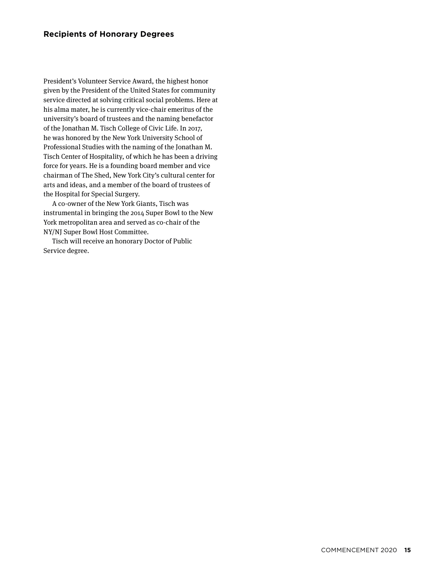President's Volunteer Service Award, the highest honor given by the President of the United States for community service directed at solving critical social problems. Here at his alma mater, he is currently vice-chair emeritus of the university's board of trustees and the naming benefactor of the Jonathan M. Tisch College of Civic Life. In 2017, he was honored by the New York University School of Professional Studies with the naming of the Jonathan M. Tisch Center of Hospitality, of which he has been a driving force for years. He is a founding board member and vice chairman of The Shed, New York City's cultural center for arts and ideas, and a member of the board of trustees of the Hospital for Special Surgery.

A co-owner of the New York Giants, Tisch was instrumental in bringing the 2014 Super Bowl to the New York metropolitan area and served as co-chair of the NY/NJ Super Bowl Host Committee.

Tisch will receive an honorary Doctor of Public Service degree.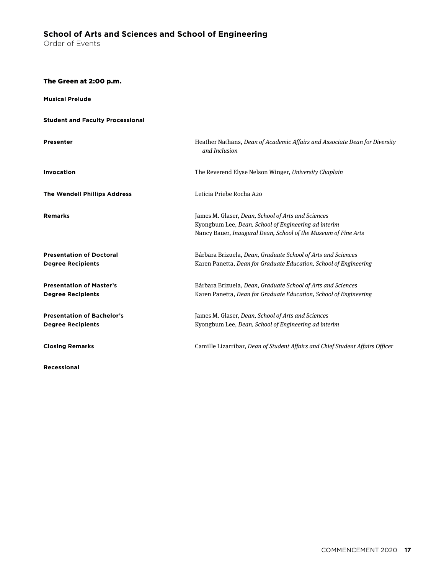# <span id="page-18-0"></span>**School of Arts and Sciences and School of Engineering**

Order of Events

The Green at 2:00 p.m.

| <b>Musical Prelude</b>                                        |                                                                                                                                                                              |
|---------------------------------------------------------------|------------------------------------------------------------------------------------------------------------------------------------------------------------------------------|
| <b>Student and Faculty Processional</b>                       |                                                                                                                                                                              |
| <b>Presenter</b>                                              | Heather Nathans, Dean of Academic Affairs and Associate Dean for Diversity<br>and Inclusion                                                                                  |
| <b>Invocation</b>                                             | The Reverend Elyse Nelson Winger, University Chaplain                                                                                                                        |
| <b>The Wendell Phillips Address</b>                           | Leticia Priebe Rocha A20                                                                                                                                                     |
| <b>Remarks</b>                                                | James M. Glaser, Dean, School of Arts and Sciences<br>Kyongbum Lee, Dean, School of Engineering ad interim<br>Nancy Bauer, Inaugural Dean, School of the Museum of Fine Arts |
| <b>Presentation of Doctoral</b><br><b>Degree Recipients</b>   | Bárbara Brizuela, Dean, Graduate School of Arts and Sciences<br>Karen Panetta, Dean for Graduate Education, School of Engineering                                            |
| <b>Presentation of Master's</b><br><b>Degree Recipients</b>   | Bárbara Brizuela, Dean, Graduate School of Arts and Sciences<br>Karen Panetta, Dean for Graduate Education, School of Engineering                                            |
| <b>Presentation of Bachelor's</b><br><b>Degree Recipients</b> | James M. Glaser, Dean, School of Arts and Sciences<br>Kyongbum Lee, Dean, School of Engineering ad interim                                                                   |
| <b>Closing Remarks</b>                                        | Camille Lizarríbar, Dean of Student Affairs and Chief Student Affairs Officer                                                                                                |
| Recessional                                                   |                                                                                                                                                                              |